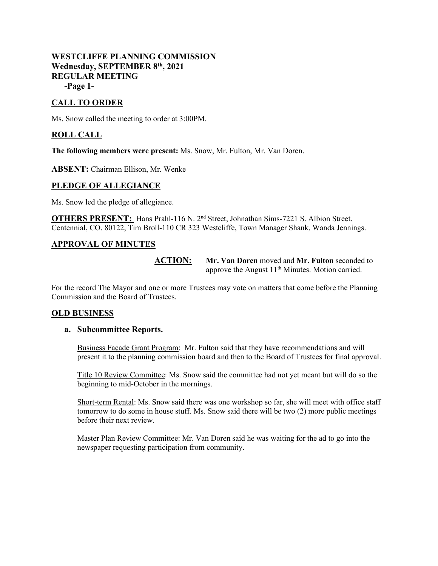## **WESTCLIFFE PLANNING COMMISSION Wednesday, SEPTEMBER 8th, 2021 REGULAR MEETING -Page 1-**

# **CALL TO ORDER**

Ms. Snow called the meeting to order at 3:00PM.

## **ROLL CALL**

**The following members were present:** Ms. Snow, Mr. Fulton, Mr. Van Doren.

**ABSENT:** Chairman Ellison, Mr. Wenke

#### **PLEDGE OF ALLEGIANCE**

Ms. Snow led the pledge of allegiance.

**OTHERS PRESENT:** Hans Prahl-116 N. 2<sup>nd</sup> Street, Johnathan Sims-7221 S. Albion Street. Centennial, CO. 80122, Tim Broll-110 CR 323 Westcliffe, Town Manager Shank, Wanda Jennings.

## **APPROVAL OF MINUTES**

**ACTION: Mr. Van Doren** moved and **Mr. Fulton** seconded to approve the August  $11<sup>th</sup>$  Minutes. Motion carried.

For the record The Mayor and one or more Trustees may vote on matters that come before the Planning Commission and the Board of Trustees.

#### **OLD BUSINESS**

#### **a. Subcommittee Reports.**

Business Façade Grant Program: Mr. Fulton said that they have recommendations and will present it to the planning commission board and then to the Board of Trustees for final approval.

Title 10 Review Committee: Ms. Snow said the committee had not yet meant but will do so the beginning to mid-October in the mornings.

Short-term Rental: Ms. Snow said there was one workshop so far, she will meet with office staff tomorrow to do some in house stuff. Ms. Snow said there will be two (2) more public meetings before their next review.

Master Plan Review Committee: Mr. Van Doren said he was waiting for the ad to go into the newspaper requesting participation from community.